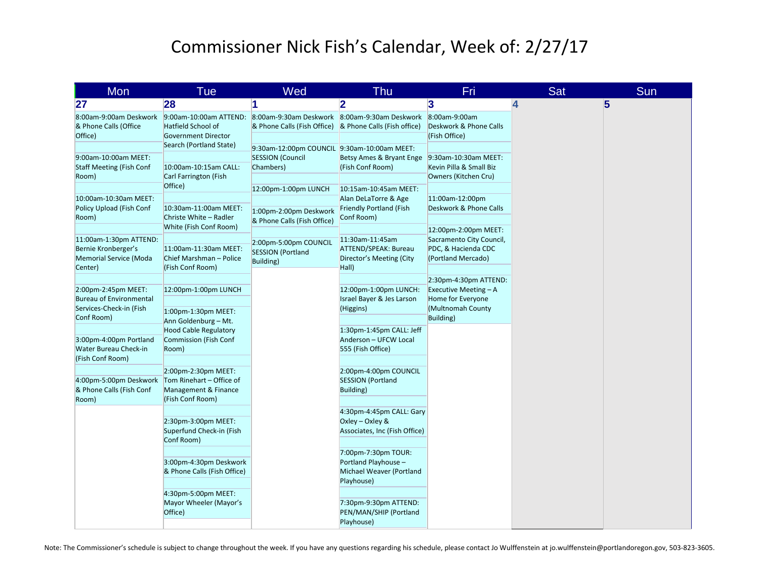## Commissioner Nick Fish's Calendar, Week of: 2/27/17

| Mon                                                                                       | Tue                                                                                                         | Wed                                                                                                                                                     | Thu                                                                                           | Fri                                                                                           | <b>Sat</b> | Sun |
|-------------------------------------------------------------------------------------------|-------------------------------------------------------------------------------------------------------------|---------------------------------------------------------------------------------------------------------------------------------------------------------|-----------------------------------------------------------------------------------------------|-----------------------------------------------------------------------------------------------|------------|-----|
| 27                                                                                        | 28                                                                                                          | 1                                                                                                                                                       | $\overline{\mathbf{2}}$                                                                       | 3                                                                                             | 4          | 5   |
| 8:00am-9:00am Deskwork<br>& Phone Calls (Office<br>Office)                                | 9:00am-10:00am ATTEND:<br>Hatfield School of<br><b>Government Director</b><br>Search (Portland State)       | 8:00am-9:30am Deskwork 8:00am-9:30am Deskwork<br>& Phone Calls (Fish Office) & Phone Calls (Fish office)<br>9:30am-12:00pm COUNCIL 9:30am-10:00am MEET: |                                                                                               | 8:00am-9:00am<br>Deskwork & Phone Calls<br>(Fish Office)                                      |            |     |
| 9:00am-10:00am MEET:<br><b>Staff Meeting (Fish Conf</b><br>Room)                          | 10:00am-10:15am CALL:<br>Carl Farrington (Fish<br>Office)                                                   | <b>SESSION (Council</b><br>Chambers)                                                                                                                    | Betsy Ames & Bryant Enge<br>(Fish Conf Room)                                                  | 9:30am-10:30am MEET:<br>Kevin Pilla & Small Biz<br>Owners (Kitchen Cru)                       |            |     |
| 10:00am-10:30am MEET:<br>Policy Upload (Fish Conf<br>Room)                                | 10:30am-11:00am MEET:<br>Christe White - Radler<br>White (Fish Conf Room)                                   | 12:00pm-1:00pm LUNCH<br>1:00pm-2:00pm Deskwork<br>& Phone Calls (Fish Office)                                                                           | 10:15am-10:45am MEET:<br>Alan DeLaTorre & Age<br><b>Friendly Portland (Fish</b><br>Conf Room) | 11:00am-12:00pm<br>Deskwork & Phone Calls                                                     |            |     |
| 11:00am-1:30pm ATTEND:<br>Bernie Kronberger's<br><b>Memorial Service (Moda</b><br>Center) | 11:00am-11:30am MEET:<br>Chief Marshman - Police<br>(Fish Conf Room)                                        | 2:00pm-5:00pm COUNCIL<br><b>SESSION (Portland</b><br><b>Building</b> )                                                                                  | 11:30am-11:45am<br><b>ATTEND/SPEAK: Bureau</b><br>Director's Meeting (City<br>Hall)           | 12:00pm-2:00pm MEET:<br>Sacramento City Council,<br>PDC, & Hacienda CDC<br>(Portland Mercado) |            |     |
| 2:00pm-2:45pm MEET:<br><b>Bureau of Environmental</b><br>Services-Check-in (Fish          | 12:00pm-1:00pm LUNCH                                                                                        |                                                                                                                                                         | 12:00pm-1:00pm LUNCH:<br>Israel Bayer & Jes Larson<br>(Higgins)                               | 2:30pm-4:30pm ATTEND:<br>Executive Meeting $- A$<br>Home for Everyone<br>(Multnomah County    |            |     |
| Conf Room)<br>3:00pm-4:00pm Portland                                                      | 1:00pm-1:30pm MEET:<br>Ann Goldenburg - Mt.<br><b>Hood Cable Regulatory</b><br><b>Commission (Fish Conf</b> |                                                                                                                                                         | 1:30pm-1:45pm CALL: Jeff<br>Anderson - UFCW Local                                             | Building)                                                                                     |            |     |
| Water Bureau Check-in<br>(Fish Conf Room)                                                 | Room)<br>2:00pm-2:30pm MEET:                                                                                |                                                                                                                                                         | 555 (Fish Office)<br>2:00pm-4:00pm COUNCIL                                                    |                                                                                               |            |     |
| 4:00pm-5:00pm Deskwork Tom Rinehart - Office of<br>& Phone Calls (Fish Conf<br>Room)      | Management & Finance<br>(Fish Conf Room)                                                                    |                                                                                                                                                         | <b>SESSION</b> (Portland<br>Building)                                                         |                                                                                               |            |     |
|                                                                                           | 2:30pm-3:00pm MEET:<br>Superfund Check-in (Fish<br>Conf Room)                                               |                                                                                                                                                         | 4:30pm-4:45pm CALL: Gary<br>Oxley - Oxley &<br>Associates, Inc (Fish Office)                  |                                                                                               |            |     |
|                                                                                           | 3:00pm-4:30pm Deskwork<br>& Phone Calls (Fish Office)                                                       |                                                                                                                                                         | 7:00pm-7:30pm TOUR:<br>Portland Playhouse -<br>Michael Weaver (Portland<br>Playhouse)         |                                                                                               |            |     |
|                                                                                           | 4:30pm-5:00pm MEET:<br>Mayor Wheeler (Mayor's<br>Office)                                                    |                                                                                                                                                         | 7:30pm-9:30pm ATTEND:<br>PEN/MAN/SHIP (Portland<br>Playhouse)                                 |                                                                                               |            |     |

Note: The Commissioner's schedule is subject to change throughout the week. If you have any questions regarding his schedule, please contact Jo Wulffenstein at jo.wulffenstein@portlandoregon.gov, 503-823-3605.